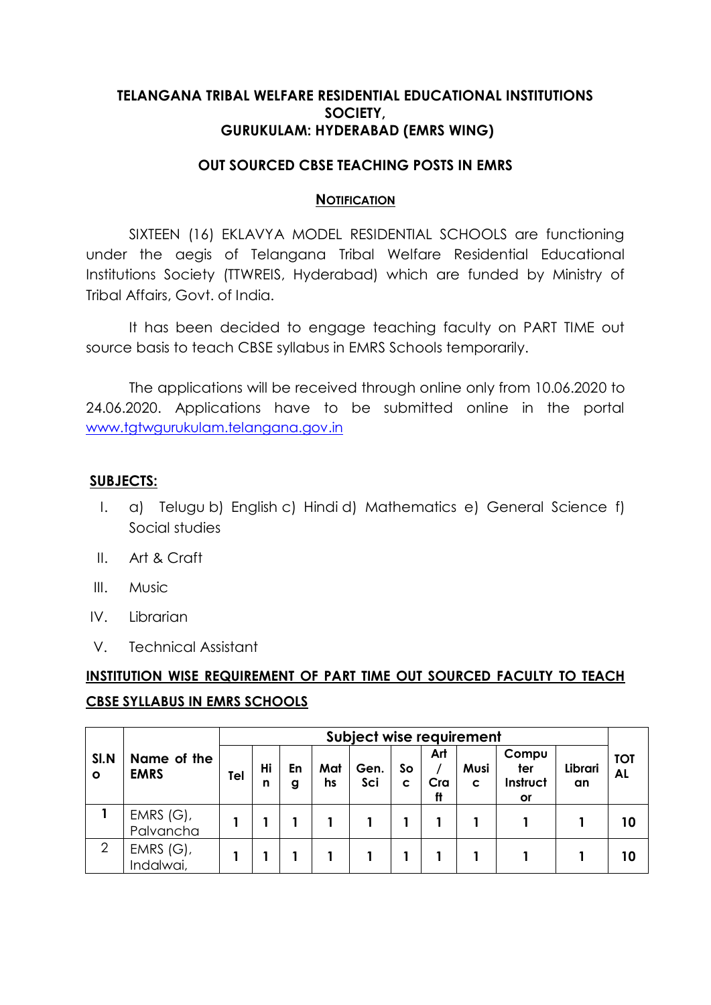### **TELANGANA TRIBAL WELFARE RESIDENTIAL EDUCATIONAL INSTITUTIONS SOCIETY, GURUKULAM: HYDERABAD (EMRS WING)**

## **OUT SOURCED CBSE TEACHING POSTS IN EMRS**

#### **NOTIFICATION**

SIXTEEN (16) EKLAVYA MODEL RESIDENTIAL SCHOOLS are functioning under the aegis of Telangana Tribal Welfare Residential Educational Institutions Society (TTWREIS, Hyderabad) which are funded by Ministry of Tribal Affairs, Govt. of India.

It has been decided to engage teaching faculty on PART TIME out source basis to teach CBSE syllabus in EMRS Schools temporarily.

The applications will be received through online only from 10.06.2020 to 24.06.2020. Applications have to be submitted online in the portal [www.tgtwgurukulam.telangana.gov.in](http://www.tgtwgurukulam.telangana.gov.in/)

#### **SUBJECTS:**

- I. a) Telugu b) English c) Hindi d) Mathematics e) General Science f) Social studies
- II. Art & Craft
- III. Music
- IV. Librarian
- V. Technical Assistant

# **INSTITUTION WISE REQUIREMENT OF PART TIME OUT SOURCED FACULTY TO TEACH CBSE SYLLABUS IN EMRS SCHOOLS**

|                 |                            | Subject wise requirement |         |         |           |             |         |                  |           |                                |               |                         |
|-----------------|----------------------------|--------------------------|---------|---------|-----------|-------------|---------|------------------|-----------|--------------------------------|---------------|-------------------------|
| SI.N<br>$\circ$ | Name of the<br><b>EMRS</b> | Tel                      | Hi<br>n | En<br>g | Mat<br>hs | Gen.<br>Sci | So<br>C | Art<br>Cra<br>ft | Musi<br>C | Compu<br>ter<br>Instruct<br>or | Librari<br>an | <b>TOT</b><br><b>AL</b> |
|                 | EMRS $(G)$ ,<br>Palvancha  |                          |         |         |           |             |         |                  |           |                                |               | 10                      |
| $\overline{2}$  | EMRS $(G)$ ,<br>Indalwai,  |                          |         |         |           |             |         |                  |           |                                |               | 10                      |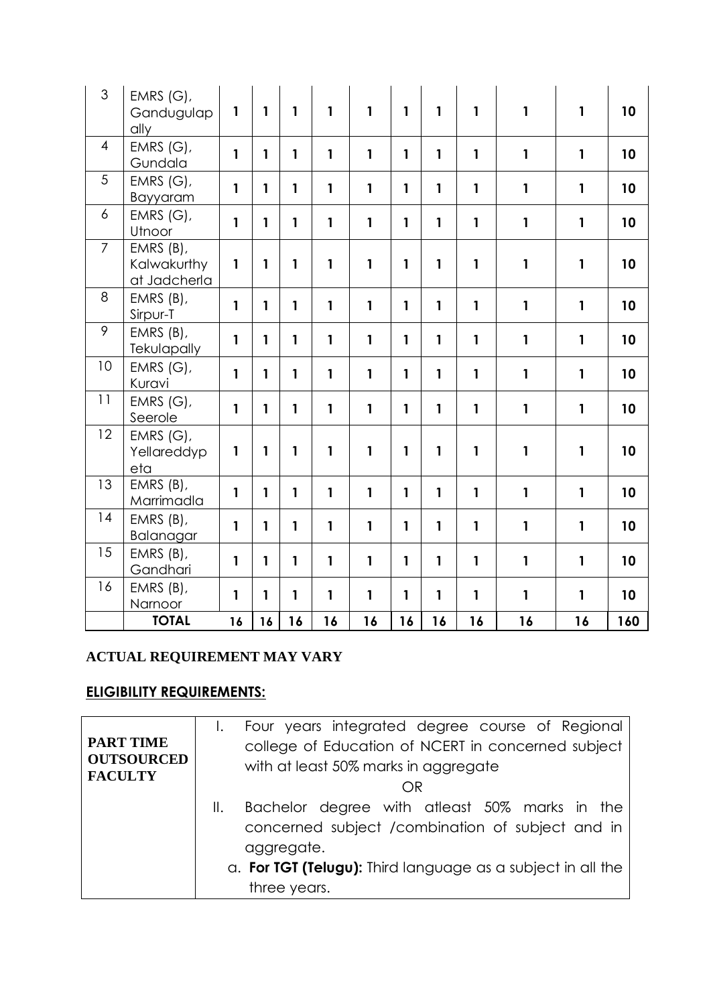| 3                | EMRS $(G)$ ,<br>Gandugulap<br>ally       | $\mathbf{1}$ | 1            | $\mathbf{1}$ | 1            | 1            | 1            | 1            | $\mathbf{1}$ | $\mathbf{1}$ | $\mathbf{1}$ | 10  |
|------------------|------------------------------------------|--------------|--------------|--------------|--------------|--------------|--------------|--------------|--------------|--------------|--------------|-----|
| $\overline{4}$   | EMRS (G),<br>Gundala                     | $\mathbf{1}$ | 1            | $\mathbf{1}$ | $\mathbf{1}$ | $\mathbf{1}$ | $\mathbf{1}$ | $\mathbf{1}$ | $\mathbf{1}$ | $\mathbf{1}$ | $\mathbf{1}$ | 10  |
| 5                | EMRS (G),<br>Bayyaram                    | $\mathbf{1}$ | $\mathbf{1}$ | $\mathbf{1}$ | 1            | 1            | 1            | $\mathbf{1}$ | $\mathbf{1}$ | $\mathbf{1}$ | $\mathbf{1}$ | 10  |
| $\boldsymbol{6}$ | EMRS (G),<br>Utnoor                      | $\mathbf{1}$ | 1            | $\mathbf{1}$ | $\mathbf{1}$ | 1            | $\mathbf{1}$ | $\mathbf{1}$ | $\mathbf{1}$ | $\mathbf{1}$ | $\mathbf{1}$ | 10  |
| $\overline{7}$   | EMRS (B),<br>Kalwakurthy<br>at Jadcherla | 1            | 1            | $\mathbf{1}$ | 1            | 1            | $\mathbf{1}$ | 1            | $\mathbf{1}$ | $\mathbf{1}$ | $\mathbf{1}$ | 10  |
| 8                | EMRS (B),<br>Sirpur-T                    | $\mathbf{1}$ | $\mathbf{1}$ | $\mathbf{1}$ | $\mathbf{1}$ | $\mathbf{1}$ | 1            | $\mathbf{1}$ | $\mathbf{1}$ | $\mathbf{1}$ | $\mathbf{1}$ | 10  |
| 9                | EMRS (B),<br>Tekulapally                 | 1            | 1            | $\mathbf{1}$ | $\mathbf{1}$ | 1            | $\mathbf{1}$ | $\mathbf{1}$ | $\mathbf{1}$ | $\mathbf{1}$ | $\mathbf{1}$ | 10  |
| 10               | EMRS $(G)$ ,<br>Kuravi                   | 1            | 1            | 1            | $\mathbf{1}$ | $\mathbf{1}$ | 1            | $\mathbf{1}$ | $\mathbf{1}$ | $\mathbf{1}$ | $\mathbf{1}$ | 10  |
| 11               | EMRS $(G)$ ,<br>Seerole                  | $\mathbf{1}$ | $\mathbf{1}$ | $\mathbf{1}$ | $\mathbf{1}$ | 1            | $\mathbf{1}$ | $\mathbf{1}$ | $\mathbf{1}$ | $\mathbf{1}$ | $\mathbf{1}$ | 10  |
| 12               | EMRS (G),<br>Yellareddyp<br>eta          | 1            | 1            | $\mathbf{1}$ | 1            | 1            | $\mathbf{1}$ | 1            | $\mathbf{1}$ | $\mathbf{1}$ | $\mathbf{1}$ | 10  |
| 13               | EMRS (B),<br>Marrimadla                  | 1            | $\mathbf{1}$ | $\mathbf{1}$ | $\mathbf{1}$ | $\mathbf{1}$ | $\mathbf{1}$ | $\mathbf{1}$ | $\mathbf{1}$ | $\mathbf{1}$ | $\mathbf{1}$ | 10  |
| 14               | EMRS (B),<br>Balanagar                   | $\mathbf{1}$ | 1            | $\mathbf{1}$ | 1            | 1            | 1            | $\mathbf{1}$ | $\mathbf{1}$ | $\mathbf{1}$ | $\mathbf{1}$ | 10  |
| 15               | EMRS (B),<br>Gandhari                    | 1            | 1            | 1            | 1            | 1            | $\mathbf{1}$ | 1            | $\mathbf{1}$ | $\mathbf{1}$ | $\mathbf{1}$ | 10  |
| 16               | EMRS (B),<br>Narnoor                     | 1            | 1            | 1            | $\mathbf{1}$ | $\mathbf{1}$ | $\mathbf{1}$ | $\mathbf{1}$ | $\mathbf{1}$ | $\mathbf{1}$ | $\mathbf{1}$ | 10  |
|                  | <b>TOTAL</b>                             | 16           | 16           | 16           | 16           | 16           | 16           | 16           | 16           | 16           | 16           | 160 |

# **ACTUAL REQUIREMENT MAY VARY**

# **ELIGIBILITY REQUIREMENTS:**

| <b>PART TIME</b><br><b>OUTSOURCED</b> | Four years integrated degree course of Regional<br>college of Education of NCERT in concerned subject<br>with at least 50% marks in aggregate |
|---------------------------------------|-----------------------------------------------------------------------------------------------------------------------------------------------|
| <b>FACULTY</b>                        | OR                                                                                                                                            |
|                                       | Bachelor degree with atleast 50% marks in the<br>Ⅱ.                                                                                           |
|                                       | concerned subject / combination of subject and in<br>aggregate.                                                                               |
|                                       | a. For TGT (Telugu): Third language as a subject in all the                                                                                   |
|                                       | three years.                                                                                                                                  |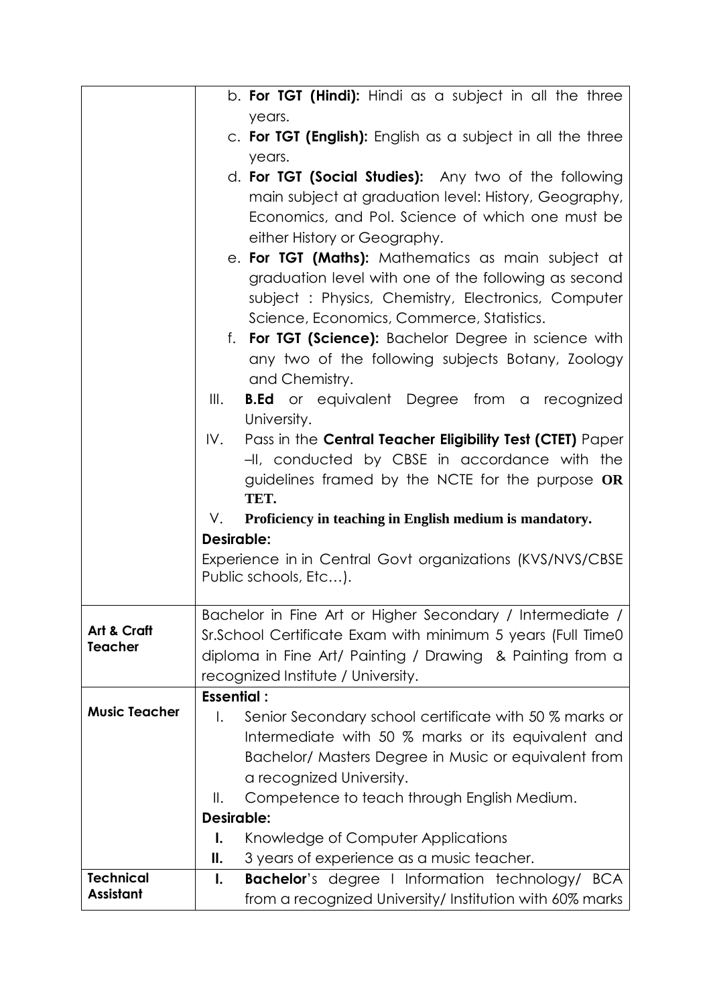|                                      | b. For TGT (Hindi): Hindi as a subject in all the three              |  |  |  |  |  |  |  |
|--------------------------------------|----------------------------------------------------------------------|--|--|--|--|--|--|--|
|                                      | years.                                                               |  |  |  |  |  |  |  |
|                                      | c. For TGT (English): English as a subject in all the three          |  |  |  |  |  |  |  |
|                                      | years.                                                               |  |  |  |  |  |  |  |
|                                      | d. For TGT (Social Studies): Any two of the following                |  |  |  |  |  |  |  |
|                                      | main subject at graduation level: History, Geography,                |  |  |  |  |  |  |  |
|                                      | Economics, and Pol. Science of which one must be                     |  |  |  |  |  |  |  |
|                                      | either History or Geography.                                         |  |  |  |  |  |  |  |
|                                      | e. For TGT (Maths): Mathematics as main subject at                   |  |  |  |  |  |  |  |
|                                      | graduation level with one of the following as second                 |  |  |  |  |  |  |  |
|                                      | subject: Physics, Chemistry, Electronics, Computer                   |  |  |  |  |  |  |  |
|                                      | Science, Economics, Commerce, Statistics.                            |  |  |  |  |  |  |  |
|                                      | f. For TGT (Science): Bachelor Degree in science with                |  |  |  |  |  |  |  |
|                                      | any two of the following subjects Botany, Zoology                    |  |  |  |  |  |  |  |
|                                      | and Chemistry.                                                       |  |  |  |  |  |  |  |
|                                      | <b>B.Ed</b> or equivalent Degree from a recognized<br>$\mathbb{H}$ . |  |  |  |  |  |  |  |
|                                      | University.                                                          |  |  |  |  |  |  |  |
|                                      | Pass in the Central Teacher Eligibility Test (CTET) Paper<br>IV.     |  |  |  |  |  |  |  |
|                                      | -II, conducted by CBSE in accordance with the                        |  |  |  |  |  |  |  |
|                                      | guidelines framed by the NCTE for the purpose OR<br>TET.             |  |  |  |  |  |  |  |
|                                      | Proficiency in teaching in English medium is mandatory.<br>V.        |  |  |  |  |  |  |  |
|                                      | <b>Desirable:</b>                                                    |  |  |  |  |  |  |  |
|                                      | Experience in in Central Govt organizations (KVS/NVS/CBSE            |  |  |  |  |  |  |  |
|                                      | Public schools, Etc).                                                |  |  |  |  |  |  |  |
|                                      |                                                                      |  |  |  |  |  |  |  |
|                                      | Bachelor in Fine Art or Higher Secondary / Intermediate /            |  |  |  |  |  |  |  |
| Art & Craft<br><b>Teacher</b>        | Sr.School Certificate Exam with minimum 5 years (Full Time0          |  |  |  |  |  |  |  |
|                                      | diploma in Fine Art/ Painting / Drawing & Painting from a            |  |  |  |  |  |  |  |
|                                      | recognized Institute / University.                                   |  |  |  |  |  |  |  |
| <b>Music Teacher</b>                 | <b>Essential:</b>                                                    |  |  |  |  |  |  |  |
|                                      | Senior Secondary school certificate with 50 % marks or<br>I.         |  |  |  |  |  |  |  |
|                                      | Intermediate with 50 % marks or its equivalent and                   |  |  |  |  |  |  |  |
|                                      | Bachelor/ Masters Degree in Music or equivalent from                 |  |  |  |  |  |  |  |
|                                      | a recognized University.                                             |  |  |  |  |  |  |  |
|                                      | Competence to teach through English Medium.<br>Ⅱ.                    |  |  |  |  |  |  |  |
|                                      | <b>Desirable:</b>                                                    |  |  |  |  |  |  |  |
|                                      | Knowledge of Computer Applications<br>Ι.                             |  |  |  |  |  |  |  |
|                                      | 3 years of experience as a music teacher.<br>Ш.                      |  |  |  |  |  |  |  |
| <b>Technical</b><br><b>Assistant</b> | <b>Bachelor's degree I Information technology/ BCA</b><br>Ι.         |  |  |  |  |  |  |  |
|                                      | from a recognized University/ Institution with 60% marks             |  |  |  |  |  |  |  |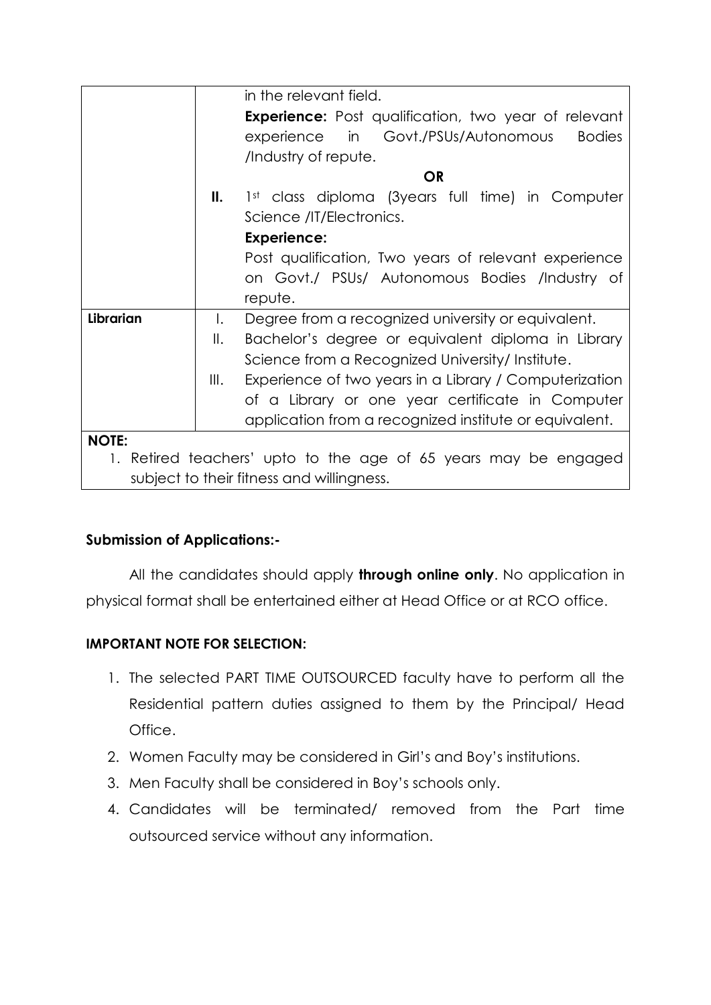|                                                                 |              | in the relevant field.                                      |  |  |  |
|-----------------------------------------------------------------|--------------|-------------------------------------------------------------|--|--|--|
|                                                                 |              | <b>Experience:</b> Post qualification, two year of relevant |  |  |  |
|                                                                 |              | experience in Govt./PSUs/Autonomous<br><b>Bodies</b>        |  |  |  |
|                                                                 |              | /Industry of repute.                                        |  |  |  |
|                                                                 |              | <b>OR</b>                                                   |  |  |  |
|                                                                 | Ш.           | 1st class diploma (3years full time) in Computer            |  |  |  |
|                                                                 |              | Science /IT/Electronics.                                    |  |  |  |
|                                                                 |              | <b>Experience:</b>                                          |  |  |  |
|                                                                 |              | Post qualification, Two years of relevant experience        |  |  |  |
|                                                                 |              | on Govt./ PSUs/ Autonomous Bodies /Industry of              |  |  |  |
|                                                                 |              | repute.                                                     |  |  |  |
| Librarian                                                       | $\mathbf{L}$ | Degree from a recognized university or equivalent.          |  |  |  |
|                                                                 | Ⅱ.           | Bachelor's degree or equivalent diploma in Library          |  |  |  |
|                                                                 |              | Science from a Recognized University/Institute.             |  |  |  |
|                                                                 | III.         | Experience of two years in a Library / Computerization      |  |  |  |
|                                                                 |              | of a Library or one year certificate in Computer            |  |  |  |
|                                                                 |              | application from a recognized institute or equivalent.      |  |  |  |
| <b>NOTE:</b>                                                    |              |                                                             |  |  |  |
| 1. Retired teachers' upto to the age of 65 years may be engaged |              |                                                             |  |  |  |
| subject to their fitness and willingness.                       |              |                                                             |  |  |  |

# **Submission of Applications:-**

All the candidates should apply **through online only**. No application in physical format shall be entertained either at Head Office or at RCO office.

# **IMPORTANT NOTE FOR SELECTION:**

- 1. The selected PART TIME OUTSOURCED faculty have to perform all the Residential pattern duties assigned to them by the Principal/ Head Office.
- 2. Women Faculty may be considered in Girl's and Boy's institutions.
- 3. Men Faculty shall be considered in Boy's schools only.
- 4. Candidates will be terminated/ removed from the Part time outsourced service without any information.